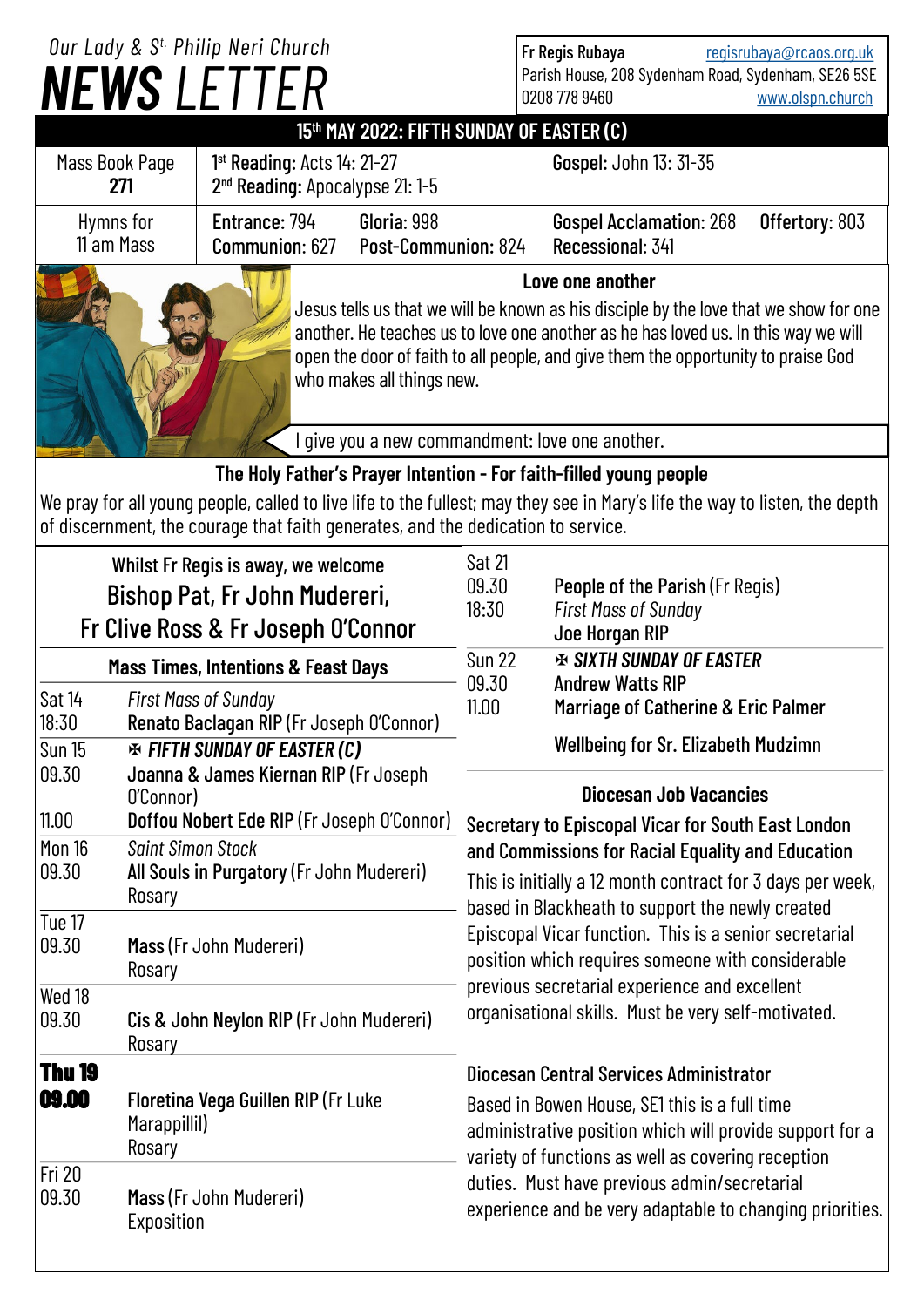| Our Lady & S <sup>t.</sup> Philip Neri Church                                                                                                                                                                                                                                                                     |                                                                                                                                               |                                                                         |                                                                                                                                                                                                                                                                                                                                                                                                                                                                                                                                 |                                                                                                                                                                                                                   | Fr Regis Rubaya<br>regisrubaya@rcaos.org.uk                                      |                                                                      |                  |
|-------------------------------------------------------------------------------------------------------------------------------------------------------------------------------------------------------------------------------------------------------------------------------------------------------------------|-----------------------------------------------------------------------------------------------------------------------------------------------|-------------------------------------------------------------------------|---------------------------------------------------------------------------------------------------------------------------------------------------------------------------------------------------------------------------------------------------------------------------------------------------------------------------------------------------------------------------------------------------------------------------------------------------------------------------------------------------------------------------------|-------------------------------------------------------------------------------------------------------------------------------------------------------------------------------------------------------------------|----------------------------------------------------------------------------------|----------------------------------------------------------------------|------------------|
|                                                                                                                                                                                                                                                                                                                   |                                                                                                                                               | <b>NEWS LETTER</b>                                                      |                                                                                                                                                                                                                                                                                                                                                                                                                                                                                                                                 |                                                                                                                                                                                                                   |                                                                                  | Parish House, 208 Sydenham Road, Sydenham, SE26 5SE<br>0208 778 9460 | www.olspn.church |
|                                                                                                                                                                                                                                                                                                                   |                                                                                                                                               |                                                                         | 15th MAY 2022: FIFTH SUNDAY OF EASTER (C)                                                                                                                                                                                                                                                                                                                                                                                                                                                                                       |                                                                                                                                                                                                                   |                                                                                  |                                                                      |                  |
| $1st$ Reading: Acts $14:21-27$<br>Mass Book Page<br>271<br>2 <sup>nd</sup> Reading: Apocalypse 21: 1-5                                                                                                                                                                                                            |                                                                                                                                               |                                                                         |                                                                                                                                                                                                                                                                                                                                                                                                                                                                                                                                 |                                                                                                                                                                                                                   | Gospel: John 13: 31-35                                                           |                                                                      |                  |
| Entrance: 794<br>Gloria: 998<br>Hymns for<br>11 am Mass<br>Communion: 627<br>Post-Communion: 824                                                                                                                                                                                                                  |                                                                                                                                               |                                                                         |                                                                                                                                                                                                                                                                                                                                                                                                                                                                                                                                 |                                                                                                                                                                                                                   | <b>Gospel Acclamation: 268</b><br>Recessional: 341                               | Offertory: 803                                                       |                  |
| Love one another<br>Jesus tells us that we will be known as his disciple by the love that we show for one<br>another. He teaches us to love one another as he has loved us. In this way we will<br>open the door of faith to all people, and give them the opportunity to praise God<br>who makes all things new. |                                                                                                                                               |                                                                         |                                                                                                                                                                                                                                                                                                                                                                                                                                                                                                                                 |                                                                                                                                                                                                                   |                                                                                  |                                                                      |                  |
| give you a new commandment: love one another.                                                                                                                                                                                                                                                                     |                                                                                                                                               |                                                                         |                                                                                                                                                                                                                                                                                                                                                                                                                                                                                                                                 |                                                                                                                                                                                                                   |                                                                                  |                                                                      |                  |
| The Holy Father's Prayer Intention - For faith-filled young people<br>We pray for all young people, called to live life to the fullest; may they see in Mary's life the way to listen, the depth<br>of discernment, the courage that faith generates, and the dedication to service.                              |                                                                                                                                               |                                                                         |                                                                                                                                                                                                                                                                                                                                                                                                                                                                                                                                 |                                                                                                                                                                                                                   |                                                                                  |                                                                      |                  |
| Whilst Fr Regis is away, we welcome<br>Bishop Pat, Fr John Mudereri,<br>Fr Clive Ross & Fr Joseph O'Connor                                                                                                                                                                                                        |                                                                                                                                               |                                                                         | <b>Sat 21</b><br>09.30<br>18:30                                                                                                                                                                                                                                                                                                                                                                                                                                                                                                 |                                                                                                                                                                                                                   | People of the Parish (Fr Regis)<br><b>First Mass of Sunday</b><br>Joe Horgan RIP |                                                                      |                  |
| <b>Mass Times, Intentions &amp; Feast Days</b>                                                                                                                                                                                                                                                                    |                                                                                                                                               |                                                                         | 09.30                                                                                                                                                                                                                                                                                                                                                                                                                                                                                                                           | <b>Sun 22</b><br><b>EX SIXTH SUNDAY OF EASTER</b><br><b>Andrew Watts RIP</b>                                                                                                                                      |                                                                                  |                                                                      |                  |
| Sat 14<br>18:30                                                                                                                                                                                                                                                                                                   |                                                                                                                                               | <b>First Mass of Sunday</b><br>Renato Baclagan RIP (Fr Joseph O'Connor) |                                                                                                                                                                                                                                                                                                                                                                                                                                                                                                                                 | 11.00                                                                                                                                                                                                             |                                                                                  | Marriage of Catherine & Eric Palmer                                  |                  |
| <b>Sun 15</b><br>09.30<br>11.00                                                                                                                                                                                                                                                                                   | <b>EXAMPLE FIFTH SUNDAY OF EASTER (C)</b><br>Joanna & James Kiernan RIP (Fr Joseph<br>O'Connor)<br>Doffou Nobert Ede RIP (Fr Joseph O'Connor) |                                                                         | <b>Wellbeing for Sr. Elizabeth Mudzimn</b><br><b>Diocesan Job Vacancies</b><br>Secretary to Episcopal Vicar for South East London<br>and Commissions for Racial Equality and Education<br>This is initially a 12 month contract for 3 days per week,<br>based in Blackheath to support the newly created<br>Episcopal Vicar function. This is a senior secretarial<br>position which requires someone with considerable<br>previous secretarial experience and excellent<br>organisational skills. Must be very self-motivated. |                                                                                                                                                                                                                   |                                                                                  |                                                                      |                  |
| Mon 16<br>09.30                                                                                                                                                                                                                                                                                                   | <b>Saint Simon Stock</b><br>All Souls in Purgatory (Fr John Mudereri)<br>Rosary                                                               |                                                                         |                                                                                                                                                                                                                                                                                                                                                                                                                                                                                                                                 |                                                                                                                                                                                                                   |                                                                                  |                                                                      |                  |
| Tue 17<br>09.30                                                                                                                                                                                                                                                                                                   | Mass (Fr John Mudereri)<br>Rosary                                                                                                             |                                                                         |                                                                                                                                                                                                                                                                                                                                                                                                                                                                                                                                 |                                                                                                                                                                                                                   |                                                                                  |                                                                      |                  |
| Wed 18<br>09.30                                                                                                                                                                                                                                                                                                   | Cis & John Neylon RIP (Fr John Mudereri)<br>Rosary                                                                                            |                                                                         |                                                                                                                                                                                                                                                                                                                                                                                                                                                                                                                                 |                                                                                                                                                                                                                   |                                                                                  |                                                                      |                  |
| <b>Thu 19</b><br>09.00                                                                                                                                                                                                                                                                                            | Floretina Vega Guillen RIP (Fr Luke<br>Marappillil)<br>Rosary                                                                                 |                                                                         |                                                                                                                                                                                                                                                                                                                                                                                                                                                                                                                                 | <b>Diocesan Central Services Administrator</b><br>Based in Bowen House, SE1 this is a full time<br>administrative position which will provide support for a<br>variety of functions as well as covering reception |                                                                                  |                                                                      |                  |
| Fri 20<br>09.30                                                                                                                                                                                                                                                                                                   | Exposition                                                                                                                                    | Mass (Fr John Mudereri)                                                 |                                                                                                                                                                                                                                                                                                                                                                                                                                                                                                                                 | duties. Must have previous admin/secretarial<br>experience and be very adaptable to changing priorities.                                                                                                          |                                                                                  |                                                                      |                  |